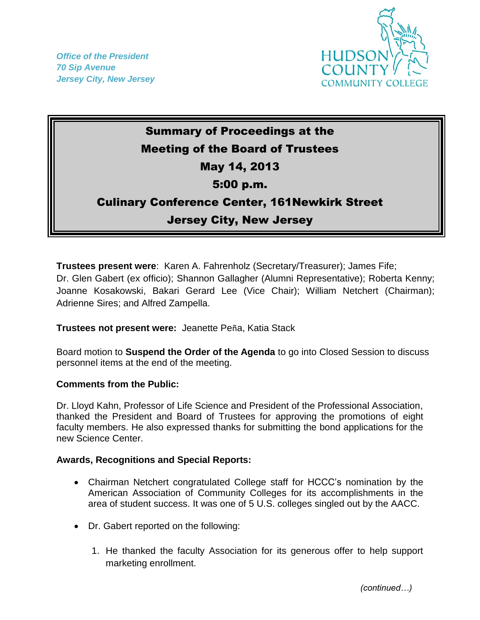*Office of the President 70 Sip Avenue Jersey City, New Jersey*



## Summary of Proceedings at the Meeting of the Board of Trustees May 14, 2013 5:00 p.m. Culinary Conference Center, 161Newkirk Street Jersey City, New Jersey

**Trustees present were**: Karen A. Fahrenholz (Secretary/Treasurer); James Fife; Dr. Glen Gabert (ex officio); Shannon Gallagher (Alumni Representative); Roberta Kenny; Joanne Kosakowski, Bakari Gerard Lee (Vice Chair); William Netchert (Chairman); Adrienne Sires; and Alfred Zampella.

**Trustees not present were:** Jeanette Peña, Katia Stack

Board motion to **Suspend the Order of the Agenda** to go into Closed Session to discuss personnel items at the end of the meeting.

## **Comments from the Public:**

Dr. Lloyd Kahn, Professor of Life Science and President of the Professional Association, thanked the President and Board of Trustees for approving the promotions of eight faculty members. He also expressed thanks for submitting the bond applications for the new Science Center.

## **Awards, Recognitions and Special Reports:**

- Chairman Netchert congratulated College staff for HCCC's nomination by the American Association of Community Colleges for its accomplishments in the area of student success. It was one of 5 U.S. colleges singled out by the AACC.
- Dr. Gabert reported on the following:
	- 1. He thanked the faculty Association for its generous offer to help support marketing enrollment.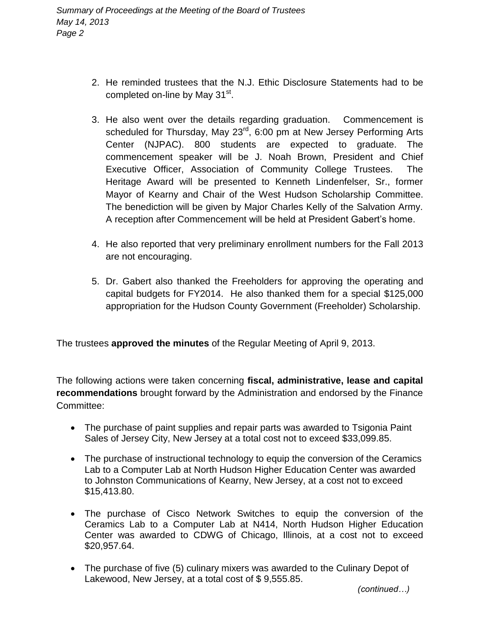- 2. He reminded trustees that the N.J. Ethic Disclosure Statements had to be completed on-line by May 31<sup>st</sup>.
- 3. He also went over the details regarding graduation. Commencement is scheduled for Thursday, May 23<sup>rd</sup>, 6:00 pm at New Jersey Performing Arts Center (NJPAC). 800 students are expected to graduate. The commencement speaker will be J. Noah Brown, President and Chief Executive Officer, Association of Community College Trustees. The Heritage Award will be presented to Kenneth Lindenfelser, Sr., former Mayor of Kearny and Chair of the West Hudson Scholarship Committee. The benediction will be given by Major Charles Kelly of the Salvation Army. A reception after Commencement will be held at President Gabert's home.
- 4. He also reported that very preliminary enrollment numbers for the Fall 2013 are not encouraging.
- 5. Dr. Gabert also thanked the Freeholders for approving the operating and capital budgets for FY2014. He also thanked them for a special \$125,000 appropriation for the Hudson County Government (Freeholder) Scholarship.

The trustees **approved the minutes** of the Regular Meeting of April 9, 2013.

The following actions were taken concerning **fiscal, administrative, lease and capital recommendations** brought forward by the Administration and endorsed by the Finance Committee:

- The purchase of paint supplies and repair parts was awarded to Tsigonia Paint Sales of Jersey City, New Jersey at a total cost not to exceed \$33,099.85.
- The purchase of instructional technology to equip the conversion of the Ceramics Lab to a Computer Lab at North Hudson Higher Education Center was awarded to Johnston Communications of Kearny, New Jersey, at a cost not to exceed \$15,413.80.
- The purchase of Cisco Network Switches to equip the conversion of the Ceramics Lab to a Computer Lab at N414, North Hudson Higher Education Center was awarded to CDWG of Chicago, Illinois, at a cost not to exceed \$20,957.64.
- The purchase of five (5) culinary mixers was awarded to the Culinary Depot of Lakewood, New Jersey, at a total cost of \$ 9,555.85.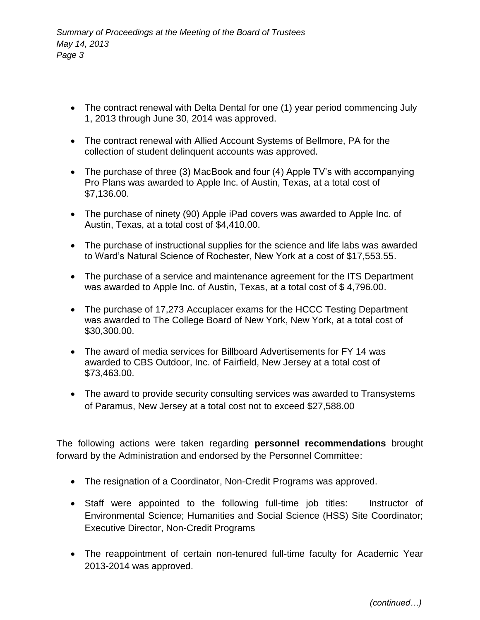- The contract renewal with Delta Dental for one (1) year period commencing July 1, 2013 through June 30, 2014 was approved.
- The contract renewal with Allied Account Systems of Bellmore, PA for the collection of student delinquent accounts was approved.
- The purchase of three (3) MacBook and four (4) Apple TV's with accompanying Pro Plans was awarded to Apple Inc. of Austin, Texas, at a total cost of \$7,136.00.
- The purchase of ninety (90) Apple iPad covers was awarded to Apple Inc. of Austin, Texas, at a total cost of \$4,410.00.
- The purchase of instructional supplies for the science and life labs was awarded to Ward's Natural Science of Rochester, New York at a cost of \$17,553.55.
- The purchase of a service and maintenance agreement for the ITS Department was awarded to Apple Inc. of Austin, Texas, at a total cost of \$ 4,796.00.
- The purchase of 17,273 Accuplacer exams for the HCCC Testing Department was awarded to The College Board of New York, New York, at a total cost of \$30,300.00.
- The award of media services for Billboard Advertisements for FY 14 was awarded to CBS Outdoor, Inc. of Fairfield, New Jersey at a total cost of \$73,463.00.
- The award to provide security consulting services was awarded to Transystems of Paramus, New Jersey at a total cost not to exceed \$27,588.00

The following actions were taken regarding **personnel recommendations** brought forward by the Administration and endorsed by the Personnel Committee:

- The resignation of a Coordinator, Non-Credit Programs was approved.
- Staff were appointed to the following full-time job titles: Instructor of Environmental Science; Humanities and Social Science (HSS) Site Coordinator; Executive Director, Non-Credit Programs
- The reappointment of certain non-tenured full-time faculty for Academic Year 2013-2014 was approved.